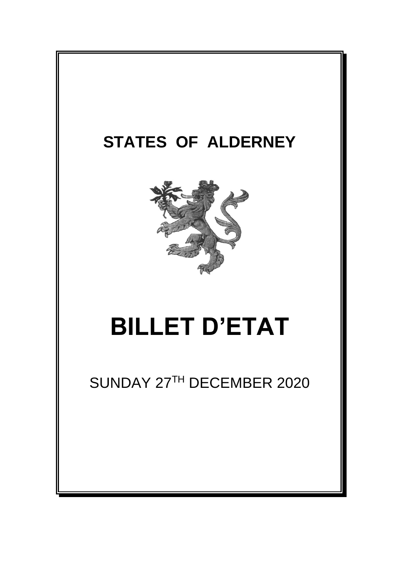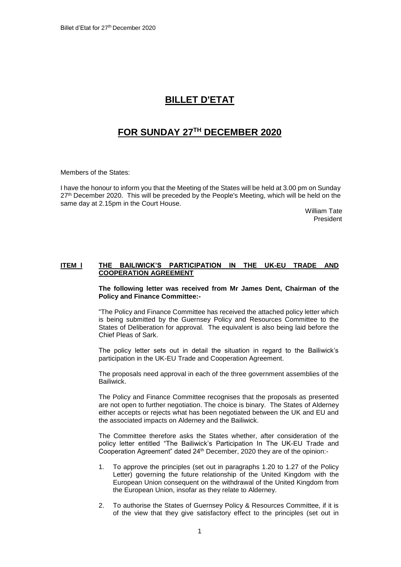## **BILLET D'ETAT**

## **FOR SUNDAY 27TH DECEMBER 2020**

Members of the States:

I have the honour to inform you that the Meeting of the States will be held at 3.00 pm on Sunday 27<sup>th</sup> December 2020. This will be preceded by the People's Meeting, which will be held on the same day at 2.15pm in the Court House.

> William Tate President

## **ITEM l THE BAILIWICK'S PARTICIPATION IN THE UK-EU TRADE AND COOPERATION AGREEMENT**

**The following letter was received from Mr James Dent, Chairman of the Policy and Finance Committee:-**

"The Policy and Finance Committee has received the attached policy letter which is being submitted by the Guernsey Policy and Resources Committee to the States of Deliberation for approval. The equivalent is also being laid before the Chief Pleas of Sark.

The policy letter sets out in detail the situation in regard to the Bailiwick's participation in the UK-EU Trade and Cooperation Agreement.

The proposals need approval in each of the three government assemblies of the Bailiwick.

The Policy and Finance Committee recognises that the proposals as presented are not open to further negotiation. The choice is binary. The States of Alderney either accepts or rejects what has been negotiated between the UK and EU and the associated impacts on Alderney and the Bailiwick.

The Committee therefore asks the States whether, after consideration of the policy letter entitled "The Bailiwick's Participation In The UK-EU Trade and Cooperation Agreement" dated 24th December, 2020 they are of the opinion:-

- 1. To approve the principles (set out in paragraphs 1.20 to 1.27 of the Policy Letter) governing the future relationship of the United Kingdom with the European Union consequent on the withdrawal of the United Kingdom from the European Union, insofar as they relate to Alderney.
- 2. To authorise the States of Guernsey Policy & Resources Committee, if it is of the view that they give satisfactory effect to the principles (set out in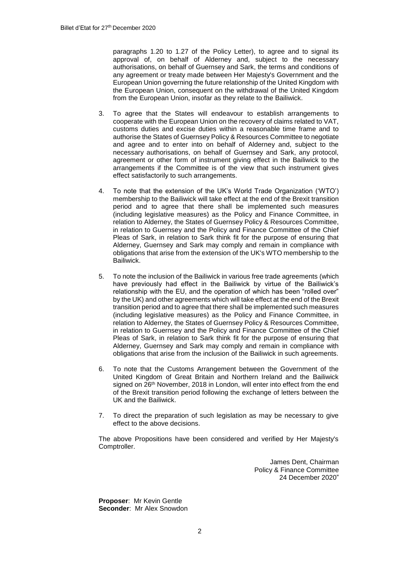paragraphs 1.20 to 1.27 of the Policy Letter), to agree and to signal its approval of, on behalf of Alderney and, subject to the necessary authorisations, on behalf of Guernsey and Sark, the terms and conditions of any agreement or treaty made between Her Majesty's Government and the European Union governing the future relationship of the United Kingdom with the European Union, consequent on the withdrawal of the United Kingdom from the European Union, insofar as they relate to the Bailiwick.

- 3. To agree that the States will endeavour to establish arrangements to cooperate with the European Union on the recovery of claims related to VAT, customs duties and excise duties within a reasonable time frame and to authorise the States of Guernsey Policy & Resources Committee to negotiate and agree and to enter into on behalf of Alderney and, subject to the necessary authorisations, on behalf of Guernsey and Sark, any protocol, agreement or other form of instrument giving effect in the Bailiwick to the arrangements if the Committee is of the view that such instrument gives effect satisfactorily to such arrangements.
- 4. To note that the extension of the UK's World Trade Organization ('WTO') membership to the Bailiwick will take effect at the end of the Brexit transition period and to agree that there shall be implemented such measures (including legislative measures) as the Policy and Finance Committee, in relation to Alderney, the States of Guernsey Policy & Resources Committee, in relation to Guernsey and the Policy and Finance Committee of the Chief Pleas of Sark, in relation to Sark think fit for the purpose of ensuring that Alderney, Guernsey and Sark may comply and remain in compliance with obligations that arise from the extension of the UK's WTO membership to the Bailiwick.
- 5. To note the inclusion of the Bailiwick in various free trade agreements (which have previously had effect in the Bailiwick by virtue of the Bailiwick's relationship with the EU, and the operation of which has been "rolled over" by the UK) and other agreements which will take effect at the end of the Brexit transition period and to agree that there shall be implemented such measures (including legislative measures) as the Policy and Finance Committee, in relation to Alderney, the States of Guernsey Policy & Resources Committee, in relation to Guernsey and the Policy and Finance Committee of the Chief Pleas of Sark, in relation to Sark think fit for the purpose of ensuring that Alderney, Guernsey and Sark may comply and remain in compliance with obligations that arise from the inclusion of the Bailiwick in such agreements.
- 6. To note that the Customs Arrangement between the Government of the United Kingdom of Great Britain and Northern Ireland and the Bailiwick signed on 26<sup>th</sup> November, 2018 in London, will enter into effect from the end of the Brexit transition period following the exchange of letters between the UK and the Bailiwick.
- 7. To direct the preparation of such legislation as may be necessary to give effect to the above decisions.

The above Propositions have been considered and verified by Her Majesty's Comptroller.

> James Dent, Chairman Policy & Finance Committee 24 December 2020"

**Proposer**: Mr Kevin Gentle **Seconder**: Mr Alex Snowdon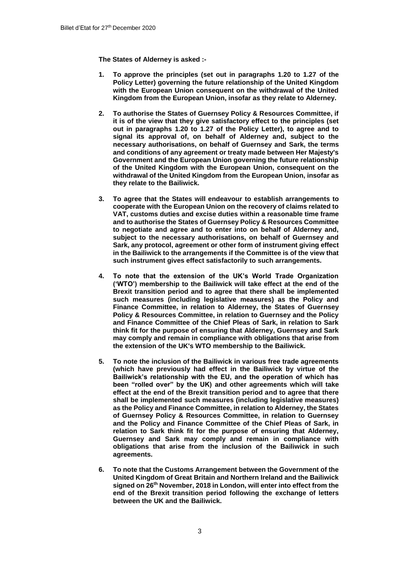**The States of Alderney is asked :-**

- **1. To approve the principles (set out in paragraphs 1.20 to 1.27 of the Policy Letter) governing the future relationship of the United Kingdom with the European Union consequent on the withdrawal of the United Kingdom from the European Union, insofar as they relate to Alderney.**
- **2. To authorise the States of Guernsey Policy & Resources Committee, if it is of the view that they give satisfactory effect to the principles (set out in paragraphs 1.20 to 1.27 of the Policy Letter), to agree and to signal its approval of, on behalf of Alderney and, subject to the necessary authorisations, on behalf of Guernsey and Sark, the terms and conditions of any agreement or treaty made between Her Majesty's Government and the European Union governing the future relationship of the United Kingdom with the European Union, consequent on the withdrawal of the United Kingdom from the European Union, insofar as they relate to the Bailiwick.**
- **3. To agree that the States will endeavour to establish arrangements to cooperate with the European Union on the recovery of claims related to VAT, customs duties and excise duties within a reasonable time frame and to authorise the States of Guernsey Policy & Resources Committee to negotiate and agree and to enter into on behalf of Alderney and, subject to the necessary authorisations, on behalf of Guernsey and Sark, any protocol, agreement or other form of instrument giving effect in the Bailiwick to the arrangements if the Committee is of the view that such instrument gives effect satisfactorily to such arrangements.**
- **4. To note that the extension of the UK's World Trade Organization ('WTO') membership to the Bailiwick will take effect at the end of the Brexit transition period and to agree that there shall be implemented such measures (including legislative measures) as the Policy and Finance Committee, in relation to Alderney, the States of Guernsey Policy & Resources Committee, in relation to Guernsey and the Policy and Finance Committee of the Chief Pleas of Sark, in relation to Sark think fit for the purpose of ensuring that Alderney, Guernsey and Sark may comply and remain in compliance with obligations that arise from the extension of the UK's WTO membership to the Bailiwick.**
- **5. To note the inclusion of the Bailiwick in various free trade agreements (which have previously had effect in the Bailiwick by virtue of the Bailiwick's relationship with the EU, and the operation of which has been "rolled over" by the UK) and other agreements which will take effect at the end of the Brexit transition period and to agree that there shall be implemented such measures (including legislative measures) as the Policy and Finance Committee, in relation to Alderney, the States of Guernsey Policy & Resources Committee, in relation to Guernsey and the Policy and Finance Committee of the Chief Pleas of Sark, in relation to Sark think fit for the purpose of ensuring that Alderney, Guernsey and Sark may comply and remain in compliance with obligations that arise from the inclusion of the Bailiwick in such agreements.**
- **6. To note that the Customs Arrangement between the Government of the United Kingdom of Great Britain and Northern Ireland and the Bailiwick signed on 26th November, 2018 in London, will enter into effect from the end of the Brexit transition period following the exchange of letters between the UK and the Bailiwick.**